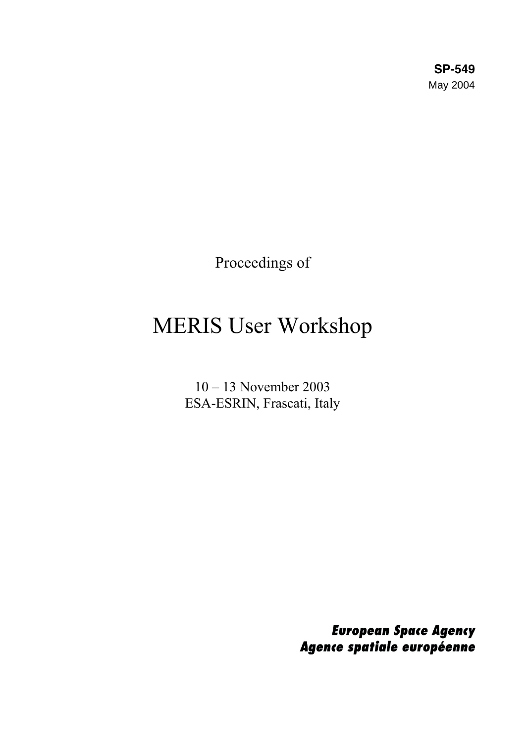**SP-549** May 2004

Proceedings of

# MERIS User Workshop

10 – 13 November 2003 ESA-ESRIN, Frascati, Italy

> **European Space Agency** Agence spatiale européenne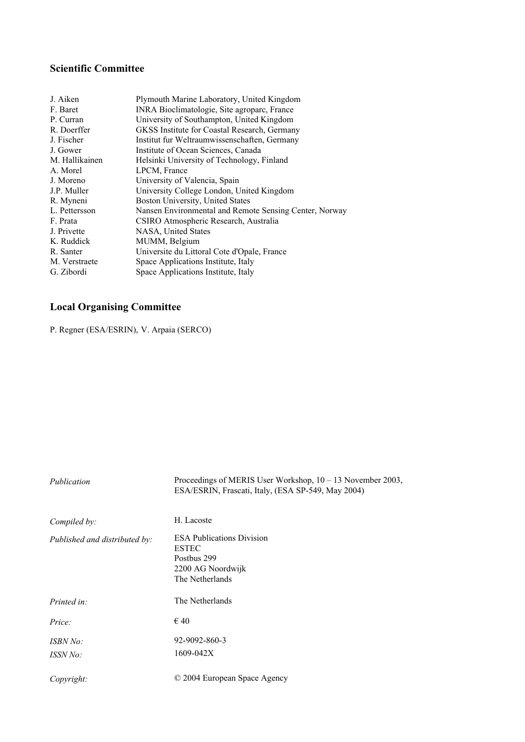### **Scientific Committee**

| J. Aiken       | Plymouth Marine Laboratory, United Kingdom             |
|----------------|--------------------------------------------------------|
| F. Baret       | INRA Bioclimatologie, Site agroparc, France            |
| P. Curran      | University of Southampton, United Kingdom              |
| R. Doerffer    | GKSS Institute for Coastal Research, Germany           |
| J. Fischer     | Institut fur Weltraumwissenschaften, Germany           |
| J. Gower       | Institute of Ocean Sciences, Canada                    |
| M. Hallikainen | Helsinki University of Technology, Finland             |
| A. Morel       | LPCM, France                                           |
| J. Moreno      | University of Valencia, Spain                          |
| J.P. Muller    | University College London, United Kingdom              |
| R. Myneni      | Boston University, United States                       |
| L. Pettersson  | Nansen Environmental and Remote Sensing Center, Norway |
| F. Prata       | CSIRO Atmospheric Research, Australia                  |
| J. Privette    | NASA, United States                                    |
| K. Ruddick     | MUMM, Belgium                                          |
| R. Santer      | Universite du Littoral Cote d'Opale, France            |
| M. Verstraete  | Space Applications Institute, Italy                    |
| G. Zibordi     | Space Applications Institute, Italy                    |
|                |                                                        |

## **Local Organising Committee**

P. Regner (ESA/ESRIN), V. Arpaia (SERCO)

| Publication                   | Proceedings of MERIS User Workshop, $10 - 13$ November 2003,<br>ESA/ESRIN, Frascati, Italy, (ESA SP-549, May 2004) |
|-------------------------------|--------------------------------------------------------------------------------------------------------------------|
| Compiled by:                  | H. Lacoste                                                                                                         |
| Published and distributed by: | <b>ESA Publications Division</b><br><b>ESTEC</b><br>Postbus 299<br>2200 AG Noordwijk<br>The Netherlands            |
| Printed in:                   | The Netherlands                                                                                                    |
| Price:                        | $\epsilon$ 40                                                                                                      |
| ISBN No:<br>ISSN No:          | 92-9092-860-3<br>1609-042X                                                                                         |
| Copyright:                    | © 2004 European Space Agency                                                                                       |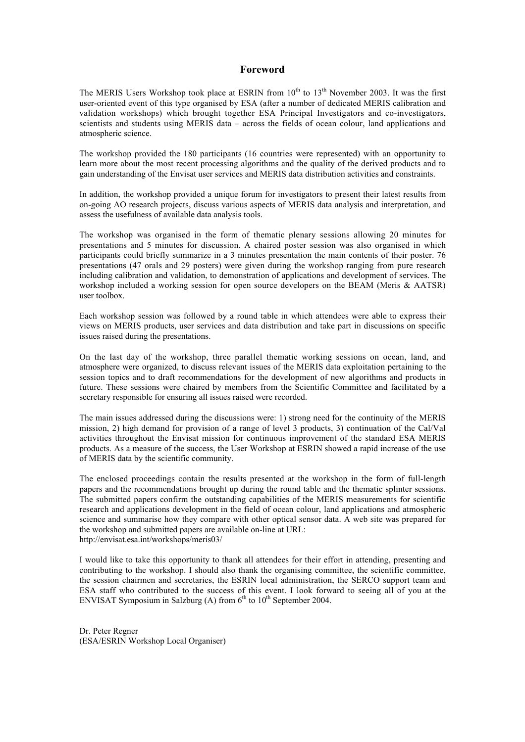#### **Foreword**

The MERIS Users Workshop took place at ESRIN from  $10^{th}$  to  $13^{th}$  November 2003. It was the first user-oriented event of this type organised by ESA (after a number of dedicated MERIS calibration and validation workshops) which brought together ESA Principal Investigators and co-investigators, scientists and students using MERIS data – across the fields of ocean colour, land applications and atmospheric science.

The workshop provided the 180 participants (16 countries were represented) with an opportunity to learn more about the most recent processing algorithms and the quality of the derived products and to gain understanding of the Envisat user services and MERIS data distribution activities and constraints.

In addition, the workshop provided a unique forum for investigators to present their latest results from on-going AO research projects, discuss various aspects of MERIS data analysis and interpretation, and assess the usefulness of available data analysis tools.

The workshop was organised in the form of thematic plenary sessions allowing 20 minutes for presentations and 5 minutes for discussion. A chaired poster session was also organised in which participants could briefly summarize in a 3 minutes presentation the main contents of their poster. 76 presentations (47 orals and 29 posters) were given during the workshop ranging from pure research including calibration and validation, to demonstration of applications and development of services. The workshop included a working session for open source developers on the BEAM (Meris & AATSR) user toolbox.

Each workshop session was followed by a round table in which attendees were able to express their views on MERIS products, user services and data distribution and take part in discussions on specific issues raised during the presentations.

On the last day of the workshop, three parallel thematic working sessions on ocean, land, and atmosphere were organized, to discuss relevant issues of the MERIS data exploitation pertaining to the session topics and to draft recommendations for the development of new algorithms and products in future. These sessions were chaired by members from the Scientific Committee and facilitated by a secretary responsible for ensuring all issues raised were recorded.

The main issues addressed during the discussions were: 1) strong need for the continuity of the MERIS mission, 2) high demand for provision of a range of level 3 products, 3) continuation of the Cal/Val activities throughout the Envisat mission for continuous improvement of the standard ESA MERIS products. As a measure of the success, the User Workshop at ESRIN showed a rapid increase of the use of MERIS data by the scientific community.

The enclosed proceedings contain the results presented at the workshop in the form of full-length papers and the recommendations brought up during the round table and the thematic splinter sessions. The submitted papers confirm the outstanding capabilities of the MERIS measurements for scientific research and applications development in the field of ocean colour, land applications and atmospheric science and summarise how they compare with other optical sensor data. A web site was prepared for the workshop and submitted papers are available on-line at URL: http://envisat.esa.int/workshops/meris03/

I would like to take this opportunity to thank all attendees for their effort in attending, presenting and contributing to the workshop. I should also thank the organising committee, the scientific committee, the session chairmen and secretaries, the ESRIN local administration, the SERCO support team and ESA staff who contributed to the success of this event. I look forward to seeing all of you at the ENVISAT Symposium in Salzburg (A) from  $6<sup>th</sup>$  to  $10<sup>th</sup>$  September 2004.

Dr. Peter Regner (ESA/ESRIN Workshop Local Organiser)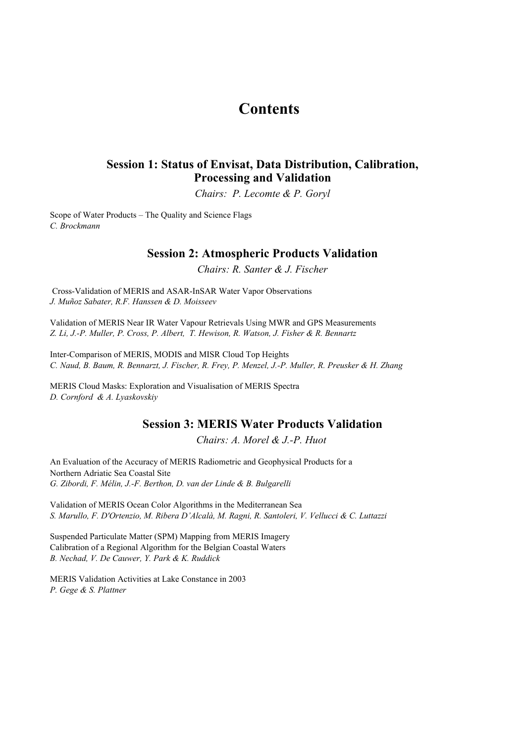## **Contents**

#### **Session 1: Status of Envisat, Data Distribution, Calibration, Processing and Validation**

*Chairs: P. Lecomte & P. Goryl*

Scope of Water Products – The Quality and Science Flags *C. Brockmann*

#### **Session 2: Atmospheric Products Validation**

*Chairs: R. Santer & J. Fischer*

Cross-Validation of MERIS and ASAR-InSAR Water Vapor Observations *J. Muñoz Sabater, R.F. Hanssen & D. Moisseev*

Validation of MERIS Near IR Water Vapour Retrievals Using MWR and GPS Measurements *Z. Li, J.-P. Muller, P. Cross, P. Albert, T. Hewison, R. Watson, J. Fisher & R. Bennartz*

Inter-Comparison of MERIS, MODIS and MISR Cloud Top Heights *C. Naud, B. Baum, R. Bennarzt, J. Fischer, R. Frey, P. Menzel, J.-P. Muller, R. Preusker & H. Zhang*

MERIS Cloud Masks: Exploration and Visualisation of MERIS Spectra *D. Cornford & A. Lyaskovskiy*

#### **Session 3: MERIS Water Products Validation**

*Chairs: A. Morel & J.-P. Huot* 

An Evaluation of the Accuracy of MERIS Radiometric and Geophysical Products for a Northern Adriatic Sea Coastal Site *G. Zibordi, F. Mélin, J.-F. Berthon, D. van der Linde & B. Bulgarelli*

Validation of MERIS Ocean Color Algorithms in the Mediterranean Sea *S. Marullo, F. D'Ortenzio, M. Ribera D'Alcalà, M. Ragni, R. Santoleri, V. Vellucci & C. Luttazzi*

Calibration of a Regional Algorithm for the Belgian Coastal Waters *B. Nechad, V. De Cauwer, Y. Park & K. Ruddick* Suspended Particulate Matter (SPM) Mapping from MERIS Imagery

MERIS Validation Activities at Lake Constance in 2003 *P. Gege & S. Plattner*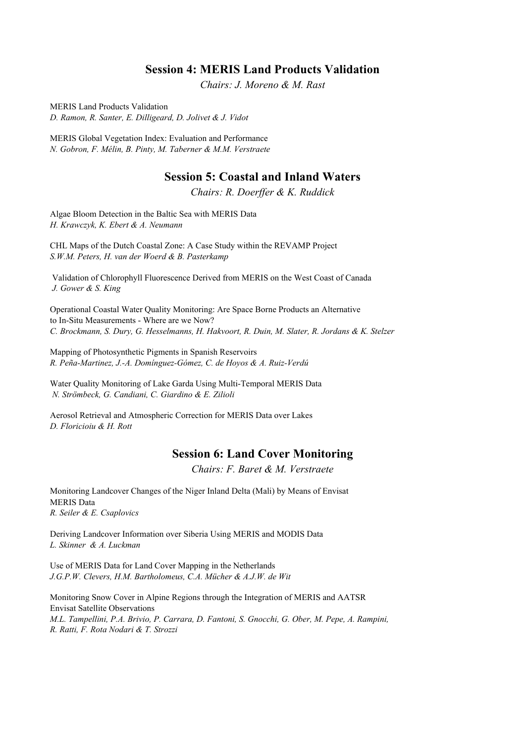#### **Session 4: MERIS Land Products Validation**

*Chairs: J. Moreno & M. Rast*

MERIS Land Products Validation *D. Ramon, R. Santer, E. Dilligeard, D. Jolivet & J. Vidot*

MERIS Global Vegetation Index: Evaluation and Performance *N. Gobron, F. Mélin, B. Pinty, M. Taberner & M.M. Verstraete*

#### **Session 5: Coastal and Inland Waters**

*Chairs: R. Doerffer & K. Ruddick*

Algae Bloom Detection in the Baltic Sea with MERIS Data *H. Krawczyk, K. Ebert & A. Neumann*

CHL Maps of the Dutch Coastal Zone: A Case Study within the REVAMP Project *S.W.M. Peters, H. van der Woerd & B. Pasterkamp*

 Validation of Chlorophyll Fluorescence Derived from MERIS on the West Coast of Canada  *J. Gower & S. King*

Operational Coastal Water Quality Monitoring: Are Space Borne Products an Alternative to In-Situ Measurements - Where are we Now? *C. Brockmann, S. Dury, G. Hesselmanns, H. Hakvoort, R. Duin, M. Slater, R. Jordans & K. Stelzer*

Mapping of Photosynthetic Pigments in Spanish Reservoirs *R. Peña-Martinez, J.-A. Domínguez-Gómez, C. de Hoyos & A. Ruiz-Verdú*

Water Quality Monitoring of Lake Garda Using Multi-Temporal MERIS Data  *N. Strömbeck, G. Candiani, C. Giardino & E. Zilioli*

Aerosol Retrieval and Atmospheric Correction for MERIS Data over Lakes *D. Floricioiu & H. Rott*

#### **Session 6: Land Cover Monitoring**

*Chairs: F. Baret & M. Verstraete*

Monitoring Landcover Changes of the Niger Inland Delta (Mali) by Means of Envisat MERIS Data *R. Seiler & E. Csaplovics*

Deriving Landcover Information over Siberia Using MERIS and MODIS Data *L. Skinner & A. Luckman*

Use of MERIS Data for Land Cover Mapping in the Netherlands *J.G.P.W. Clevers, H.M. Bartholomeus, C.A. Mücher & A.J.W. de Wit*

Monitoring Snow Cover in Alpine Regions through the Integration of MERIS and AATSR Envisat Satellite Observations *M.L. Tampellini, P.A. Brivio, P. Carrara, D. Fantoni, S. Gnocchi, G. Ober, M. Pepe, A. Rampini, R. Ratti, F. Rota Nodari & T. Strozzi*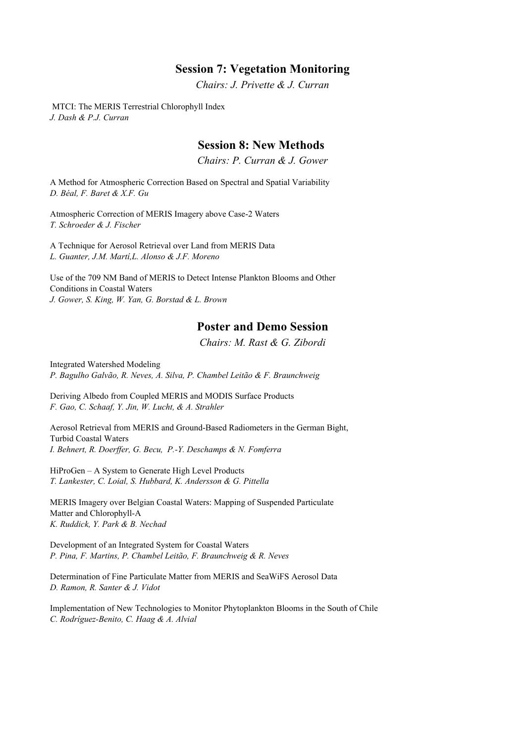#### **Session 7: Vegetation Monitoring**

*Chairs: J. Privette & J. Curran*

 MTCI: The MERIS Terrestrial Chlorophyll Index *J. Dash & P.J. Curran*

#### **Session 8: New Methods**

*Chairs: P. Curran & J. Gower*

A Method for Atmospheric Correction Based on Spectral and Spatial Variability *D. Béal, F. Baret & X.F. Gu*

Atmospheric Correction of MERIS Imagery above Case-2 Waters *T. Schroeder & J. Fischer*

A Technique for Aerosol Retrieval over Land from MERIS Data *L. Guanter, J.M. Martí,L. Alonso & J.F. Moreno*

Use of the 709 NM Band of MERIS to Detect Intense Plankton Blooms and Other Conditions in Coastal Waters *J. Gower, S. King, W. Yan, G. Borstad & L. Brown*

#### **Poster and Demo Session**

*Chairs: M. Rast & G. Zibordi*

Integrated Watershed Modeling *P. Bagulho Galvão, R. Neves, A. Silva, P. Chambel Leitão & F. Braunchweig*

Deriving Albedo from Coupled MERIS and MODIS Surface Products *F. Gao, C. Schaaf, Y. Jin, W. Lucht, & A. Strahler*

Aerosol Retrieval from MERIS and Ground-Based Radiometers in the German Bight, Turbid Coastal Waters *I. Behnert, R. Doerffer, G. Becu, P.-Y. Deschamps & N. Fomferra*

HiProGen – A System to Generate High Level Products *T. Lankester, C. Loial, S. Hubbard, K. Andersson & G. Pittella*

MERIS Imagery over Belgian Coastal Waters: Mapping of Suspended Particulate Matter and Chlorophyll-A *K. Ruddick, Y. Park & B. Nechad*

Development of an Integrated System for Coastal Waters *P. Pina, F. Martins, P. Chambel Leitão, F. Braunchweig & R. Neves*

Determination of Fine Particulate Matter from MERIS and SeaWiFS Aerosol Data *D. Ramon, R. Santer & J. Vidot*

Implementation of New Technologies to Monitor Phytoplankton Blooms in the South of Chile *C. Rodríguez-Benito, C. Haag & A. Alvial*